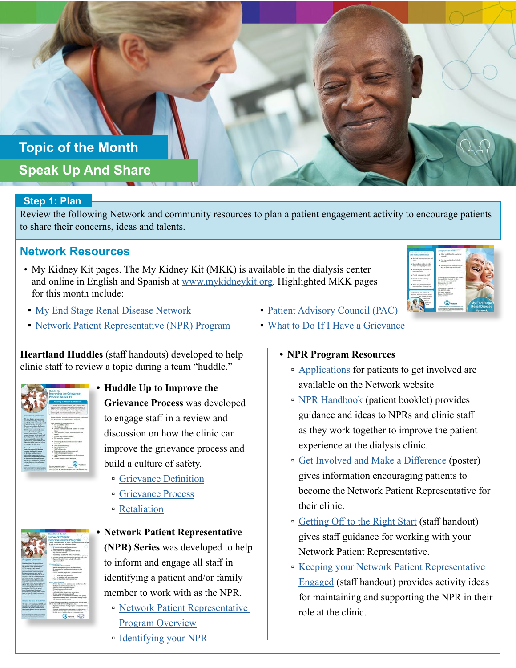# **Topic of the Month Speak Up And Share**

## **Step 1: Plan**

Review the following Network and community resources to plan a patient engagement activity to encourage patients to share their concerns, ideas and talents.

# **Network Resources**

- My Kidney Kit pages. The My Kidney Kit (MKK) is available in the dialysis center and online in English and Spanish at [www.mykidneykit.org](http://www.mykidneykit.org). Highlighted MKK pages for this month include:
- [My End Stage Renal Disease Network](https://resourcehub.exchange/?goto=XxVfMhpiZ0owWzVBIFAcWVs0UihAQi9WViALUydaBhgqNDYLWVAabRBUCjc1REhGDRJPDFgVJUEqIUsTfFopQkAOWSlTYndPJUw3UD4OTAMablo_XUc1UksvU0kmBxdEJWlhWRVfUHBPBEZwawIaXEVZ)
- [Network Patient Representative \(NPR\) Program](https://resourcehub.exchange/?goto=XxVfMhpiZ0owWzVBIFAcWVs0UihAQi9WViALUydaBhgqNDYLWVAabRBUCjc1REhGEhFSVhUBMAgiNlVKZAR7DxETTiRSKDtQaB0_UjcGG1Qdb0wvCxV2AgF0WU50DEZH)

**Heartland Huddles** (staff handouts) developed to help clinic staff to review a topic during a team "huddle."

|                                                                             | <b>Hoddle Up</b>                                                                                         |
|-----------------------------------------------------------------------------|----------------------------------------------------------------------------------------------------------|
|                                                                             |                                                                                                          |
|                                                                             | Improving the Grievance                                                                                  |
|                                                                             | <b>Process Series #1</b>                                                                                 |
|                                                                             |                                                                                                          |
|                                                                             | According to Medicare a primaries in                                                                     |
|                                                                             |                                                                                                          |
|                                                                             | "I without a sind commentation from a pattern and                                                        |
|                                                                             | EMP arrive marted than a purchase did not may the                                                        |
|                                                                             |                                                                                                          |
|                                                                             | primary) expectations with request to capity, and<br>persons rights, analise eliminal emoderal of case." |
|                                                                             |                                                                                                          |
| Grievance Definition                                                        | By this definition, we inter those entries payment is two small                                          |
| <b>We alize that a previous take</b>                                        | to be decomposed and addressed as a spirrogen-                                                           |
| pands to be something made high                                             |                                                                                                          |
| and then the bells common per-<br>for patients do not previously."          | A fine reastable of point generative.                                                                    |
| However, acceptance die Course.                                             | 1 3 is too cubbber a hour.                                                                               |
| As Minkner & Minkner Genium.                                                | . The hadistates to finite<br>Denna's mast a needly staff number to care for                             |
| of Mill a port-most including par-                                          |                                                                                                          |
| common that dolls I some the<br>person's recommendation. Personal           | . Sull applies in tenting them differently from                                                          |
| most about a state and safe                                                 |                                                                                                          |
| that radio mature what it came.                                             | · Dorachite whole dasary                                                                                 |
| to how a content Belle about the                                            | <b>bracker</b> for insurance<br>1 Parcell construc-                                                      |
| mercentral. Addressing the latin                                            | Har mouth fluctures out or top and it                                                                    |
| things also letter in common in this<br>Incoming wing thing laws            | ment                                                                                                     |
|                                                                             | <b><i>Press terrainment Variati</i></b>                                                                  |
| Toking all reprints assistants                                              | 1 West Advertised                                                                                        |
| caders the present first lake them                                          | - Buffa brownsk<br>· Below wing to an house mannel.                                                      |
| concern and fairfield mater<br>to the class; and that you are               |                                                                                                          |
| address Fall Aspect by the case                                             | * Doll's bring experiments<br>* India shares communicate on the nonnear                                  |
| <b>But months Additional advisories</b>                                     | to a                                                                                                     |
| in representative for high-resource                                         | · Another unitest in brand durington                                                                     |
| and not as a hunter below to build a<br>mittan of solety where all patients |                                                                                                          |
| and staff that safe degrees they                                            |                                                                                                          |
|                                                                             | to more adversario con                                                                                   |
| the same country comes to determine<br>the fundamental chairs where         | PECASE-MEANWHILMPOS                                                                                      |
|                                                                             | FW CHA EL MO NEI EAGE-SIM vers ENCHA                                                                     |
|                                                                             |                                                                                                          |

**• Huddle Up to Improve the Grievance Process** was developed to engage staff in a review and discussion on how the clinic can improve the grievance process and build a culture of safety.

- [Grievance Definition](https://resourcehub.exchange/download/heartland-huddle-grievance/?wpdmdl=4642&refresh=5df79152baf481576505682)
- [Grievance Process](https://resourcehub.exchange/download/heartland-huddle-grievance-process/?wpdmdl=4638&refresh=5df790103ee261576505360)
- [Retaliation](https://resourcehub.exchange/download/heartland-huddle-grievance-retaliation/?wpdmdl=4640&refresh=5df790b8a42551576505528)



- **Network Patient Representative (NPR) Series** was developed to help to inform and engage all staff in identifying a patient and/or family member to work with as the NPR.
	- [Network Patient Representative](https://resourcehub.exchange/download/heartland-huddle-npr-overview/?wpdmdl=4646&refresh=5df792541b2041576505940)  [Program Overview](https://resourcehub.exchange/download/heartland-huddle-npr-overview/?wpdmdl=4646&refresh=5df792541b2041576505940)
	- [Identifying your NPR](https://resourcehub.exchange/download/heartland-huddle-identify-npr/?wpdmdl=4644&refresh=5df791dde060a1576505821)
- **[Patient Advisory Council \(PAC\)](https://resourcehub.exchange/?goto=XxVfMhpiZ0owWzVBIFAcWVs0UihAQi9WViALUydaBhgqNDYLWVAabRBUCjc1REhGDABUEE8YNEEuNk8eIls-TxoCRDdOLiFUehctRDZeHV0TY0x7Dwc1Ul41Cw8rCEQQcD5lXU4IWiZPAU9xbAYSW0lSE0gd)**
- [What to Do If I Have a Grievance](https://resourcehub.exchange/?goto=XxVfMhpiZ0owWzVBIFAcWVs0UihAQi9WViALUydaBhgqNDYLWVAabRBUCjc1REhGGxNJHFwXLg8qfQYAIVAhUltcHnIZf25KME4oUSFbRARLZhp7WkdwVl1-CkxyAEZOdm1vVk4O)

## **• NPR Program Resources**

- □ [Applications](http://resourcehub.exchange/download/2019-npr-sme-application-form/?wpdmdl=4988&refresh=5e0a56d1de8f61577735889) for patients to get involved are available on the Network website
- [NPR Handbook](http://resourcehub.exchange/download/npr-handbook/?wpdmdl=4990&refresh=5e0a5750013aa1577736016) (patient booklet) provides guidance and ideas to NPRs and clinic staff as they work together to improve the patient experience at the dialysis clinic.
- [Get Involved and Make a Difference](https://resourcehub.exchange/download/npr-program-flier/?wpdmdl=5350&refresh=5e33448508be01580418181) (poster) gives information encouraging patients to become the Network Patient Representative for their clinic.
- [Getting Off to the Right Start](https://resourcehub.exchange/download/getting-started-with-your-npr/?wpdmdl=4751&refresh=5df7dc3ee01581576524862) (staff handout) gives staff guidance for working with your Network Patient Representative.
- [Keeping your Network Patient Representative](https://resourcehub.exchange/download/keeping-npr-engaged/?wpdmdl=4743&refresh=5df7da9035bd71576524432)  [Engaged](https://resourcehub.exchange/download/keeping-npr-engaged/?wpdmdl=4743&refresh=5df7da9035bd71576524432) (staff handout) provides activity ideas for maintaining and supporting the NPR in their role at the clinic.

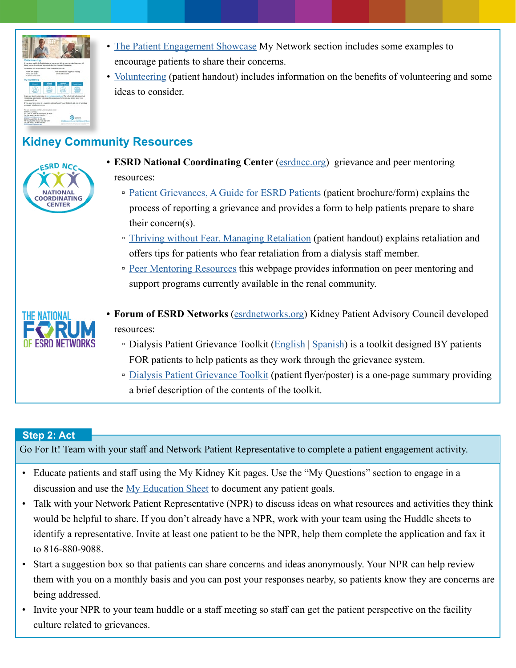

- The [Patient Engagement Showcase](https://esrdnetwork12.org/providers/quality-improvement/patient-engagement/patient-engagement-showcase/) My Network section includes some examples to encourage patients to share their concerns.
- [Volunteering](https://resourcehub.exchange/download/volunteering/?wpdmdl=5853&refresh=5e7e0445396551585316933) (patient handout) includes information on the benefits of volunteering and some ideas to consider.

# **Kidney Community Resources**



- **ESRD National Coordinating Center** [\(esrdncc.org\)](https://esrdncc.org/) grievance and peer mentoring resources:
	- □ [Patient Grievances, A Guide for ESRD Patients](https://esrdncc.org/contentassets/77e8ce4fb5084679a3e1c8b69fb76e6b/ncc_grievance-brochure_final_508.pdf) (patient brochure/form) explains the process of reporting a grievance and provides a form to help patients prepare to share their concern(s).
	- [Thriving without Fear, Managing Retaliation](https://esrdncc.org/contentassets/f7c9f1fba7bd4f6ca9e1faba900cdceb/thriving-without-fear-managing-retaliation-patient-resource-cmsfinal508-002.pdf) (patient handout) explains retaliation and offers tips for patients who fear retaliation from a dialysis staff member.
	- [Peer Mentoring Resources](https://esrdncc.org/en/patients/peer-mentoring-resources/) this webpage provides information on peer mentoring and support programs currently available in the renal community.



- **Forum of ESRD Networks** [\(esrdnetworks.org\)](http://esrdnetworks.org/) Kidney Patient Advisory Council developed resources:
	- **Dialysis Patient Grievance Toolkit ([English](https://esrdnetworks.org/resources/toolkits/patient-toolkits/dialysis-patient-grievance-toolkit-1/dialysis-patient-grievance-toolkit-english) | [Spanish\)](https://esrdnetworks.org/resources/toolkits/patient-toolkits/dialysis-patient-grievance-toolkit-1/dialysis-patient-grievance-toolkit-spanish-1) is a toolkit designed BY patients** FOR patients to help patients as they work through the grievance system.
	- [Dialysis Patient Grievance Toolkit](https://esrdnetworks.org/resources/toolkits/patient-toolkits/dialysis-patient-grievance-toolkit-1/poster-dialysis-patient-grievance-toolkit/at_download/file) (patient flyer/poster) is a one-page summary providing a brief description of the contents of the toolkit.

## **Step 2: Act**

Go For It! Team with your staff and Network Patient Representative to complete a patient engagement activity.

- Educate patients and staff using the My Kidney Kit pages. Use the "My Questions" section to engage in a discussion and use the [My Education Sheet](https://esrdnetwork12.org/download/my-education-sheet/) to document any patient goals.
- Talk with your Network Patient Representative (NPR) to discuss ideas on what resources and activities they think would be helpful to share. If you don't already have a NPR, work with your team using the Huddle sheets to identify a representative. Invite at least one patient to be the NPR, help them complete the application and fax it to 816-880-9088.
- Start a suggestion box so that patients can share concerns and ideas anonymously. Your NPR can help review them with you on a monthly basis and you can post your responses nearby, so patients know they are concerns are being addressed.
- Invite your NPR to your team huddle or a staff meeting so staff can get the patient perspective on the facility culture related to grievances.